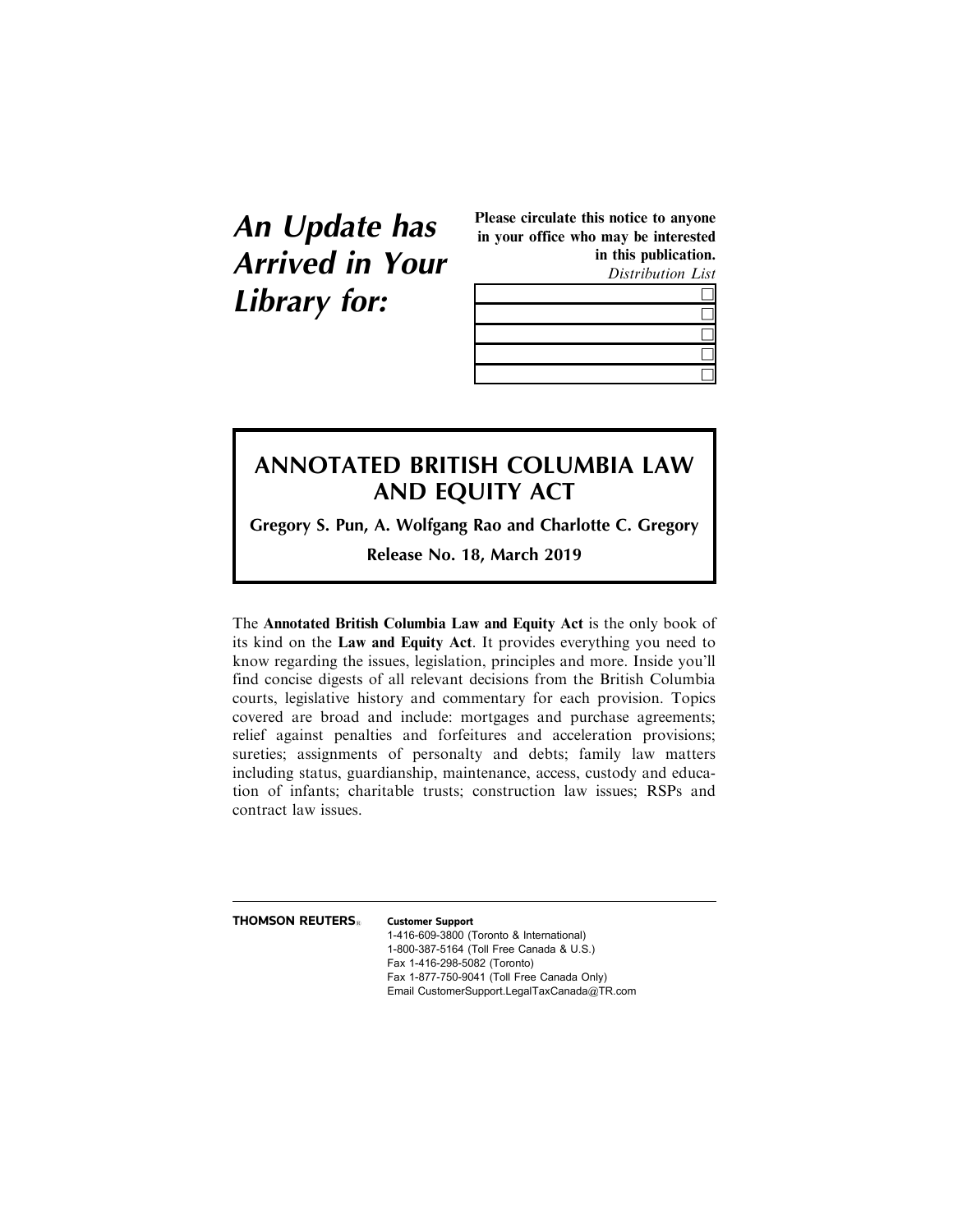# **An Update has Arrived in Your Library for:**

Please circulate this notice to anyone in your office who may be interested in this publication.

Distribution List

# **ANNOTATED BRITISH COLUMBIA LAW AND EQUITY ACT**

**Gregory S. Pun, A. Wolfgang Rao and Charlotte C. Gregory**

**Release No. 18, March 2019**

The Annotated British Columbia Law and Equity Act is the only book of its kind on the Law and Equity Act. It provides everything you need to know regarding the issues, legislation, principles and more. Inside you'll find concise digests of all relevant decisions from the British Columbia courts, legislative history and commentary for each provision. Topics covered are broad and include: mortgages and purchase agreements; relief against penalties and forfeitures and acceleration provisions; sureties; assignments of personalty and debts; family law matters including status, guardianship, maintenance, access, custody and education of infants; charitable trusts; construction law issues; RSPs and contract law issues.

**THOMSON REUTERS**<sup>1</sup> **Customer Support** 

1-416-609-3800 (Toronto & International) 1-800-387-5164 (Toll Free Canada & U.S.) Fax 1-416-298-5082 (Toronto) Fax 1-877-750-9041 (Toll Free Canada Only) Email CustomerSupport.LegalTaxCanada@TR.com